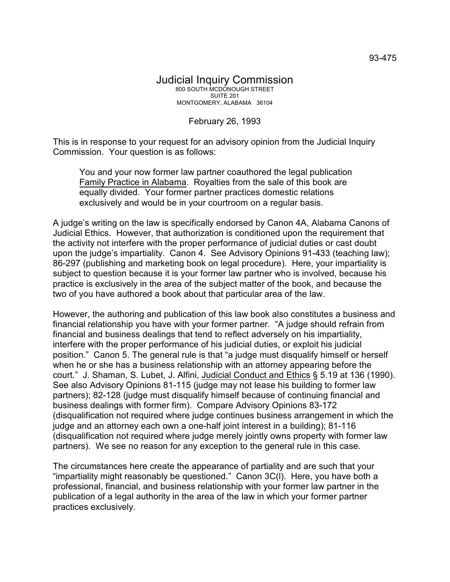## Judicial Inquiry Commission 800 SOUTH MCDONOUGH STREET SUITE 201 MONTGOMERY, ALABAMA 36104

## February 26, 1993

This is in response to your request for an advisory opinion from the Judicial Inquiry Commission. Your question is as follows:

You and your now former law partner coauthored the legal publication Family Practice in Alabama. Royalties from the sale of this book are equally divided. Your former partner practices domestic relations exclusively and would be in your courtroom on a regular basis.

A judge's writing on the law is specifically endorsed by Canon 4A, Alabama Canons of Judicial Ethics. However, that authorization is conditioned upon the requirement that the activity not interfere with the proper performance of judicial duties or cast doubt upon the judge's impartiality. Canon 4. See Advisory Opinions 91-433 (teaching law); 86-297 (publishing and marketing book on legal procedure). Here, your impartiality is subject to question because it is your former law partner who is involved, because his practice is exclusively in the area of the subject matter of the book, and because the two of you have authored a book about that particular area of the law.

However, the authoring and publication of this law book also constitutes a business and financial relationship you have with your former partner. "A judge should refrain from financial and business dealings that tend to reflect adversely on his impartiality, interfere with the proper performance of his judicial duties, or exploit his judicial position." Canon 5. The general rule is that "a judge must disqualify himself or herself when he or she has a business relationship with an attorney appearing before the court." J. Shaman, S. Lubet, J. Alfini, Judicial Conduct and Ethics § 5.19 at 136 (1990). See also Advisory Opinions 81-115 (judge may not lease his building to former law partners); 82-128 (judge must disqualify himself because of continuing financial and business dealings with former firm). Compare Advisory Opinions 83-172 (disqualification not required where judge continues business arrangement in which the judge and an attorney each own a one-half joint interest in a building); 81-116 (disqualification not required where judge merely jointly owns property with former law partners). We see no reason for any exception to the general rule in this case.

The circumstances here create the appearance of partiality and are such that your "impartiality might reasonably be questioned." Canon 3C(l). Here, you have both a professional, financial, and business relationship with your former law partner in the publication of a legal authority in the area of the law in which your former partner practices exclusively.